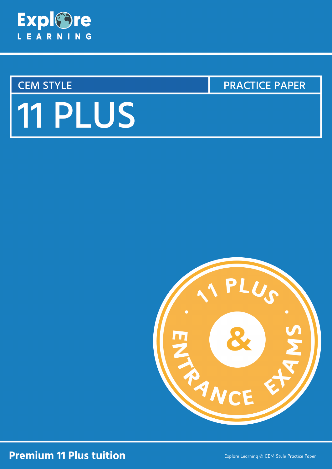

# **CEM STYLE**

**PRACTICE PAPER** 

# 11 PLUS



# **Premium 11 Plus tuition**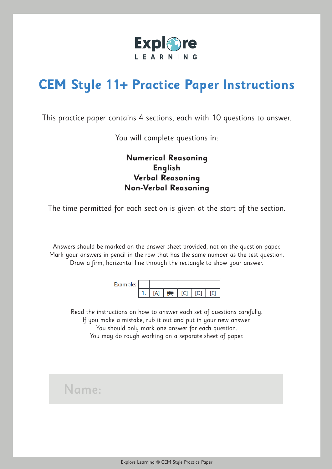

# **CEM Style 11+ Practice Paper Instructions**

This practice paper contains 4 sections, each with 10 questions to answer.

You will complete questions in:

# **Numerical Reasoning English Verbal Reasoning Non-Verbal Reasoning**

The time permitted for each section is given at the start of the section.

Answers should be marked on the answer sheet provided, not on the question paper. Mark your answers in pencil in the row that has the same number as the test question. Draw a firm, horizontal line through the rectangle to show your answer.

Example:  $1. [A]$   $\leftrightarrow$   $C$   $D$  $[E]$ 

Read the instructions on how to answer each set of questions carefully. If you make a mistake, rub it out and put in your new answer. You should only mark one answer for each question. You may do rough working on a separate sheet of paper.

# Name: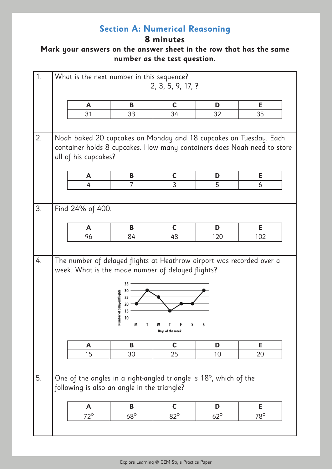# **Section A: Numerical Reasoning**

# **8 minutes**

| 1. | What is the next number in this sequence?                                                                                                                            |                                                              | 2, 3, 5, 9, 17, ?     |            |            |
|----|----------------------------------------------------------------------------------------------------------------------------------------------------------------------|--------------------------------------------------------------|-----------------------|------------|------------|
|    | $\mathsf{A}$                                                                                                                                                         | B                                                            | $\mathbf C$           | D          | E          |
|    | 31                                                                                                                                                                   | 33                                                           | 34                    | 32         | 35         |
|    |                                                                                                                                                                      |                                                              |                       |            |            |
| 2. | Noah baked 20 cupcakes on Monday and 18 cupcakes on Tuesday. Each<br>container holds 8 cupcakes. How many containers does Noah need to store<br>all of his cupcakes? |                                                              |                       |            |            |
|    | A                                                                                                                                                                    | B                                                            | $\mathbf C$           | D          | E          |
|    | 4                                                                                                                                                                    | $\overline{7}$                                               | 3                     | 5          | 6          |
|    |                                                                                                                                                                      |                                                              |                       |            |            |
| 3. | Find 24% of 400.                                                                                                                                                     |                                                              |                       |            |            |
|    | A                                                                                                                                                                    | B                                                            | $\mathbf C$           | D          | E          |
|    | 96                                                                                                                                                                   | 84                                                           | 48                    | 120        | 102        |
|    |                                                                                                                                                                      |                                                              |                       |            |            |
| 4. | The number of delayed flights at Heathrow airport was recorded over a<br>week. What is the mode number of delayed flights?                                           | 35<br>30<br>Number of delayed flights<br>25<br>20<br>10<br>M | S<br>Days of the week | S          |            |
|    | A                                                                                                                                                                    | B                                                            | $\mathbf C$           | D          | E          |
|    | 15                                                                                                                                                                   | 30                                                           | 25                    | 10         | 20         |
|    |                                                                                                                                                                      |                                                              |                       |            |            |
| 5. | One of the angles in a right-angled triangle is $18^\circ$ , which of the<br>following is also an angle in the triangle?                                             |                                                              |                       |            |            |
|    | A                                                                                                                                                                    | B                                                            | $\mathbf C$           | D          | E          |
|    | $72^\circ$                                                                                                                                                           | $68^\circ$                                                   | $82^\circ$            | $62^\circ$ | $78^\circ$ |
|    |                                                                                                                                                                      |                                                              |                       |            |            |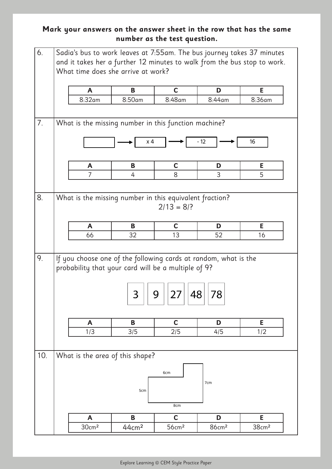| 6.  |                                                                                                                                                            |                   | What time does she arrive at work?                          |                   |                   | Sadia's bus to work leaves at 7:55am. The bus journey takes 37 minutes<br>and it takes her a further 12 minutes to walk from the bus stop to work. |  |  |  |
|-----|------------------------------------------------------------------------------------------------------------------------------------------------------------|-------------------|-------------------------------------------------------------|-------------------|-------------------|----------------------------------------------------------------------------------------------------------------------------------------------------|--|--|--|
|     |                                                                                                                                                            | A                 | B                                                           | $\mathbf C$       | D                 | E                                                                                                                                                  |  |  |  |
|     |                                                                                                                                                            | 8:32am            | 8:50am                                                      | 8:48am            | 8:44am            | 8:36am                                                                                                                                             |  |  |  |
|     |                                                                                                                                                            |                   |                                                             |                   |                   |                                                                                                                                                    |  |  |  |
| 7.  |                                                                                                                                                            |                   | What is the missing number in this function machine?<br>x 4 |                   | $-12$             | 16                                                                                                                                                 |  |  |  |
|     |                                                                                                                                                            |                   |                                                             | $\mathbf C$       |                   | E                                                                                                                                                  |  |  |  |
|     |                                                                                                                                                            | A                 | B                                                           |                   | D                 |                                                                                                                                                    |  |  |  |
|     |                                                                                                                                                            | 7                 | 4                                                           | 8                 | 3                 | 5                                                                                                                                                  |  |  |  |
|     |                                                                                                                                                            |                   |                                                             | $2/13 = 8/?$      |                   |                                                                                                                                                    |  |  |  |
|     |                                                                                                                                                            | A                 | B                                                           | $\mathbf C$       | D                 | E                                                                                                                                                  |  |  |  |
|     |                                                                                                                                                            | 66                | 32                                                          | 13                | 52                | 16                                                                                                                                                 |  |  |  |
| 9.  | If you choose one of the following cards at random, what is the<br>probability that your card will be a multiple of 9?<br>48<br>78<br>ر<br>⊃<br>$\angle$ / |                   |                                                             |                   |                   |                                                                                                                                                    |  |  |  |
|     |                                                                                                                                                            | A                 | B                                                           | $\mathbf C$       | D                 | E                                                                                                                                                  |  |  |  |
|     |                                                                                                                                                            | 1/3               | 3/5                                                         | 2/5               | 4/5               | 1/2                                                                                                                                                |  |  |  |
|     |                                                                                                                                                            |                   |                                                             |                   |                   |                                                                                                                                                    |  |  |  |
| 10. |                                                                                                                                                            |                   |                                                             |                   |                   |                                                                                                                                                    |  |  |  |
|     |                                                                                                                                                            |                   | What is the area of this shape?<br>5cm                      | 6cm<br>8cm        | 7cm               |                                                                                                                                                    |  |  |  |
|     |                                                                                                                                                            | $\mathbf{A}$      | B                                                           | $\mathbf C$       | D                 | E                                                                                                                                                  |  |  |  |
|     |                                                                                                                                                            | 30cm <sup>2</sup> | 44cm <sup>2</sup>                                           | 56cm <sup>2</sup> | 86cm <sup>2</sup> | 38cm <sup>2</sup>                                                                                                                                  |  |  |  |
|     |                                                                                                                                                            |                   |                                                             |                   |                   |                                                                                                                                                    |  |  |  |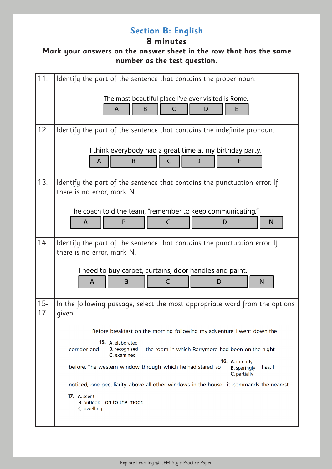# **Section B: English**

# **8 minutes**

| 11.           | Identify the part of the sentence that contains the proper noun.                                                                     |
|---------------|--------------------------------------------------------------------------------------------------------------------------------------|
|               | The most beautiful place I've ever visited is Rome.<br>B<br>A<br>C<br>E<br>D                                                         |
| 12.           | Identify the part of the sentence that contains the indefinite pronoun.                                                              |
|               | I think everybody had a great time at my birthday party.<br>E<br>B<br>C<br>D<br>A                                                    |
| 13.           | Identify the part of the sentence that contains the punctuation error. If<br>there is no error, mark N.                              |
|               | The coach told the team, "remember to keep communicating."<br>C<br>B<br>D<br>N<br>A                                                  |
| 14.           | Identify the part of the sentence that contains the punctuation error. If<br>there is no error, mark N.                              |
|               | I need to buy carpet, curtains, door handles and paint.<br>A<br>B<br>C<br>N<br>D                                                     |
| $15 -$<br>17. | In the following passage, select the most appropriate word from the options<br>given.                                                |
|               | Before breakfast on the morning following my adventure I went down the                                                               |
|               | <b>15.</b> A. elaborated<br>corridor and<br><b>B.</b> recognised<br>the room in which Barrymore had been on the night<br>C. examined |
|               | 16. A. intently<br>before. The western window through which he had stared so<br>has, $\vert$<br><b>B.</b> sparingly<br>C. partially  |
|               | noticed, one peculiarity above all other windows in the house-it commands the nearest                                                |
|               | <b>17.</b> A. scent<br>on to the moor.<br><b>B.</b> outlook<br>C. dwelling                                                           |
|               |                                                                                                                                      |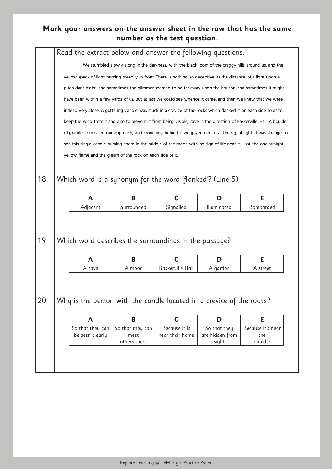|     |                                                                                                                  | Read the extract below and answer the following questions.                                                       |                      |                          |                          |                                                                                                                       |  |  |  |  |
|-----|------------------------------------------------------------------------------------------------------------------|------------------------------------------------------------------------------------------------------------------|----------------------|--------------------------|--------------------------|-----------------------------------------------------------------------------------------------------------------------|--|--|--|--|
|     |                                                                                                                  |                                                                                                                  |                      |                          |                          | We stumbled slowly along in the darkness, with the black loom of the craggy hills around us, and the                  |  |  |  |  |
|     |                                                                                                                  | yellow speck of light burning steadily in front. There is nothing so deceptive as the distance of a light upon a |                      |                          |                          |                                                                                                                       |  |  |  |  |
|     | pitch-dark night, and sometimes the glimmer seemed to be far away upon the horizon and sometimes it might        |                                                                                                                  |                      |                          |                          |                                                                                                                       |  |  |  |  |
|     | have been within a few yards of us. But at last we could see whence it came, and then we knew that we were       |                                                                                                                  |                      |                          |                          |                                                                                                                       |  |  |  |  |
|     | indeed very close. A guttering candle was stuck in a crevice of the rocks which flanked it on each side so as to |                                                                                                                  |                      |                          |                          |                                                                                                                       |  |  |  |  |
|     |                                                                                                                  |                                                                                                                  |                      |                          |                          | keep the wind from it and also to prevent it from being visible, save in the direction of Baskerville Hall. A boulder |  |  |  |  |
|     |                                                                                                                  |                                                                                                                  |                      |                          |                          | of granite concealed our approach, and crouching behind it we gazed over it at the signal light. It was strange to    |  |  |  |  |
|     |                                                                                                                  |                                                                                                                  |                      |                          |                          | see this single candle burning there in the middle of the moor, with no sign of life near it—just the one straight    |  |  |  |  |
|     |                                                                                                                  | yellow flame and the gleam of the rock on each side of it.                                                       |                      |                          |                          |                                                                                                                       |  |  |  |  |
|     |                                                                                                                  |                                                                                                                  |                      |                          |                          |                                                                                                                       |  |  |  |  |
| 18. |                                                                                                                  | Which word is a synonym for the word 'flanked'? (Line 5)                                                         |                      |                          |                          |                                                                                                                       |  |  |  |  |
|     |                                                                                                                  |                                                                                                                  |                      |                          |                          |                                                                                                                       |  |  |  |  |
|     |                                                                                                                  | A<br>Adjacent                                                                                                    | B<br>Surrounded      | $\mathbf C$<br>Signalled | D<br>Illuminated         | Е<br>Bombarded                                                                                                        |  |  |  |  |
|     |                                                                                                                  |                                                                                                                  |                      |                          |                          |                                                                                                                       |  |  |  |  |
|     |                                                                                                                  |                                                                                                                  |                      |                          |                          |                                                                                                                       |  |  |  |  |
| 19. |                                                                                                                  | Which word describes the surroundings in the passage?                                                            |                      |                          |                          |                                                                                                                       |  |  |  |  |
|     |                                                                                                                  |                                                                                                                  |                      |                          |                          |                                                                                                                       |  |  |  |  |
|     |                                                                                                                  | A                                                                                                                | B                    | $\overline{C}$           | D                        | E                                                                                                                     |  |  |  |  |
|     |                                                                                                                  | A cave                                                                                                           | A moor               | Baskerville Hall         | A garden                 | A street                                                                                                              |  |  |  |  |
|     |                                                                                                                  |                                                                                                                  |                      |                          |                          |                                                                                                                       |  |  |  |  |
|     |                                                                                                                  |                                                                                                                  |                      |                          |                          |                                                                                                                       |  |  |  |  |
| 20. |                                                                                                                  | Why is the person with the candle located in a crevice of the rocks?                                             |                      |                          |                          |                                                                                                                       |  |  |  |  |
|     |                                                                                                                  | A                                                                                                                | B                    | $\mathbf C$              | D                        | E                                                                                                                     |  |  |  |  |
|     |                                                                                                                  | So that they can                                                                                                 | So that they can     | Because it is            | So that they             | Because it's near                                                                                                     |  |  |  |  |
|     |                                                                                                                  | be seen clearly                                                                                                  | meet<br>others there | near their home          | are hidden from<br>sight | the<br>boulder                                                                                                        |  |  |  |  |
|     |                                                                                                                  |                                                                                                                  |                      |                          |                          |                                                                                                                       |  |  |  |  |
|     |                                                                                                                  |                                                                                                                  |                      |                          |                          |                                                                                                                       |  |  |  |  |
|     |                                                                                                                  |                                                                                                                  |                      |                          |                          |                                                                                                                       |  |  |  |  |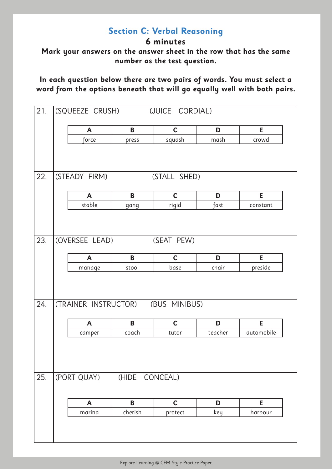# **Section C: Verbal Reasoning**

**6 minutes**

**Mark your answers on the answer sheet in the row that has the same number as the test question.**

**In each question below there are two pairs of words. You must select a word from the options beneath that will go equally well with both pairs.**

| 21. | (SQUEEZE CRUSH)                    |                | (JUICE CORDIAL) |         |            |
|-----|------------------------------------|----------------|-----------------|---------|------------|
|     | A                                  | B              | $\mathbf C$     | D       | Е          |
|     | force                              | press          | squash          | mash    | crowd      |
| 22. | (STEADY FIRM)                      |                | (STALL SHED)    |         |            |
|     |                                    |                |                 |         |            |
|     | $\mathsf{A}$                       | B              | $\mathbf C$     | D       | E.         |
|     | stable                             | gang           | rigid           | fast    | constant   |
| 23. | (OVERSEE LEAD)                     |                | (SEAT PEW)      |         |            |
|     | $\mathsf{A}$                       | B              | $\mathbf C$     | D       | E          |
|     | manage                             | stool          | base            | chair   | preside    |
| 24. | (TRAINER INSTRUCTOR) (BUS MINIBUS) |                |                 |         |            |
|     | $\mathsf{A}$                       | B              | $\mathbf C$     | D       | E          |
|     | camper                             | coach          | tutor           | teacher | automobile |
| 25. | (PORT QUAY)                        | (HIDE CONCEAL) |                 |         |            |
|     | $\mathbf{A}$                       | B              | $\mathbf C$     | D       | E          |
|     | marina                             | cherish        | protect         | key     | harbour    |
|     |                                    |                |                 |         |            |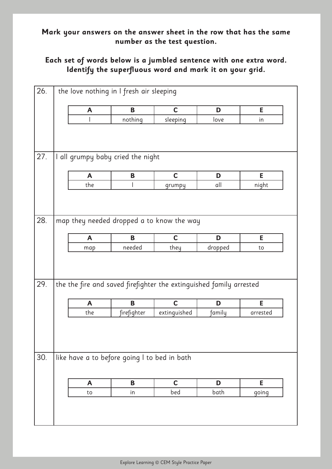#### **Mark your answers on the answer sheet in the row that has the same number as the test question.**

#### **Each set of words below is a jumbled sentence with one extra word. Identify the superfluous word and mark it on your grid.**

| 26. |              | the love nothing in I fresh air sleeping                            |              |         |          |  |
|-----|--------------|---------------------------------------------------------------------|--------------|---------|----------|--|
|     | A            | B                                                                   | $\mathbf C$  | D       | E        |  |
|     |              | nothing                                                             | sleeping     | love    | in       |  |
|     |              |                                                                     |              |         |          |  |
| 27. |              | I all grumpy baby cried the night                                   |              |         |          |  |
|     | $\mathsf{A}$ | B                                                                   | $\mathbf C$  | D       | E        |  |
|     | the          |                                                                     | grumpy       | all     | night    |  |
| 28. |              | map they needed dropped a to know the way                           |              |         |          |  |
|     | $\mathbf{A}$ | B<br>needed                                                         | $\mathbf C$  | D       | E        |  |
|     | map          |                                                                     | they         | dropped | to       |  |
| 29. |              | the the fire and saved firefighter the extinguished family arrested |              |         |          |  |
|     | $\mathbf{A}$ | B                                                                   | $\mathbf C$  | D       | E        |  |
|     | the          | firefighter                                                         | extinguished | family  | arrested |  |
| 30. |              | like have a to before going I to bed in bath                        |              |         |          |  |
|     |              |                                                                     |              |         |          |  |
|     | A            | B                                                                   | $\mathbf C$  | D       | E        |  |
|     | to           | in                                                                  | bed          | bath    | going    |  |
|     |              |                                                                     |              |         |          |  |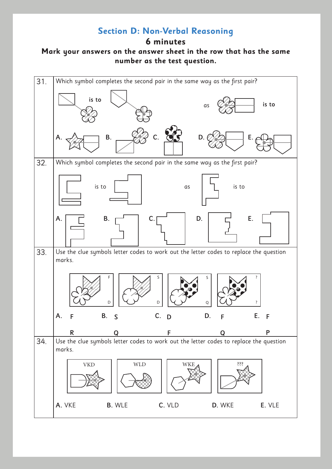# **Section D: Non-Verbal Reasoning**

**6 minutes**

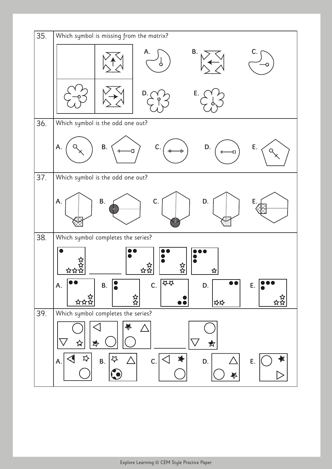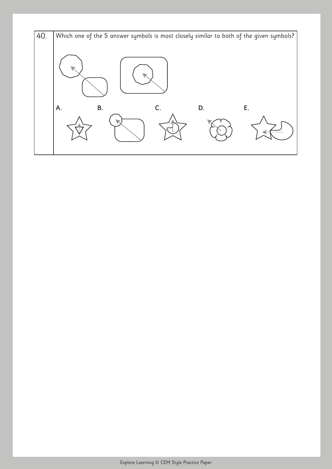